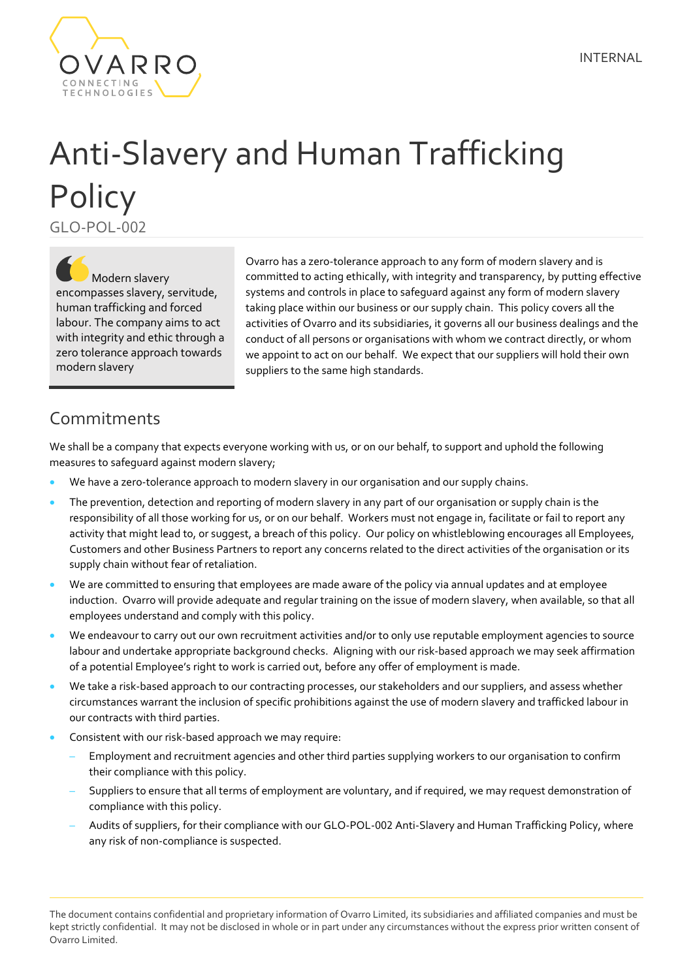

## Anti-Slavery and Human Trafficking **Policy** GLO-POL-002

Modern slavery encompasses slavery, servitude, human trafficking and forced labour. The company aims to act with integrity and ethic through a zero tolerance approach towards modern slavery

Ovarro has a zero-tolerance approach to any form of modern slavery and is committed to acting ethically, with integrity and transparency, by putting effective systems and controls in place to safeguard against any form of modern slavery taking place within our business or our supply chain. This policy covers all the activities of Ovarro and its subsidiaries, it governs all our business dealings and the conduct of all persons or organisations with whom we contract directly, or whom we appoint to act on our behalf. We expect that our suppliers will hold their own suppliers to the same high standards.

## Commitments

We shall be a company that expects everyone working with us, or on our behalf, to support and uphold the following measures to safeguard against modern slavery;

- We have a zero-tolerance approach to modern slavery in our organisation and our supply chains.
- The prevention, detection and reporting of modern slavery in any part of our organisation or supply chain is the responsibility of all those working for us, or on our behalf. Workers must not engage in, facilitate or fail to report any activity that might lead to, or suggest, a breach of this policy. Our policy on whistleblowing encourages all Employees, Customers and other Business Partners to report any concerns related to the direct activities of the organisation or its supply chain without fear of retaliation.
- We are committed to ensuring that employees are made aware of the policy via annual updates and at employee induction. Ovarro will provide adequate and regular training on the issue of modern slavery, when available, so that all employees understand and comply with this policy.
- We endeavour to carry out our own recruitment activities and/or to only use reputable employment agencies to source labour and undertake appropriate background checks. Aligning with our risk-based approach we may seek affirmation of a potential Employee's right to work is carried out, before any offer of employment is made.
- We take a risk-based approach to our contracting processes, our stakeholders and our suppliers, and assess whether circumstances warrant the inclusion of specific prohibitions against the use of modern slavery and trafficked labour in our contracts with third parties.
- Consistent with our risk-based approach we may require:
	- Employment and recruitment agencies and other third parties supplying workers to our organisation to confirm their compliance with this policy.
	- Suppliers to ensure that all terms of employment are voluntary, and if required, we may request demonstration of compliance with this policy.
	- Audits of suppliers, for their compliance with our GLO-POL-002 Anti-Slavery and Human Trafficking Policy, where any risk of non-compliance is suspected.

The document contains confidential and proprietary information of Ovarro Limited, its subsidiaries and affiliated companies and must be kept strictly confidential. It may not be disclosed in whole or in part under any circumstances without the express prior written consent of Ovarro Limited.